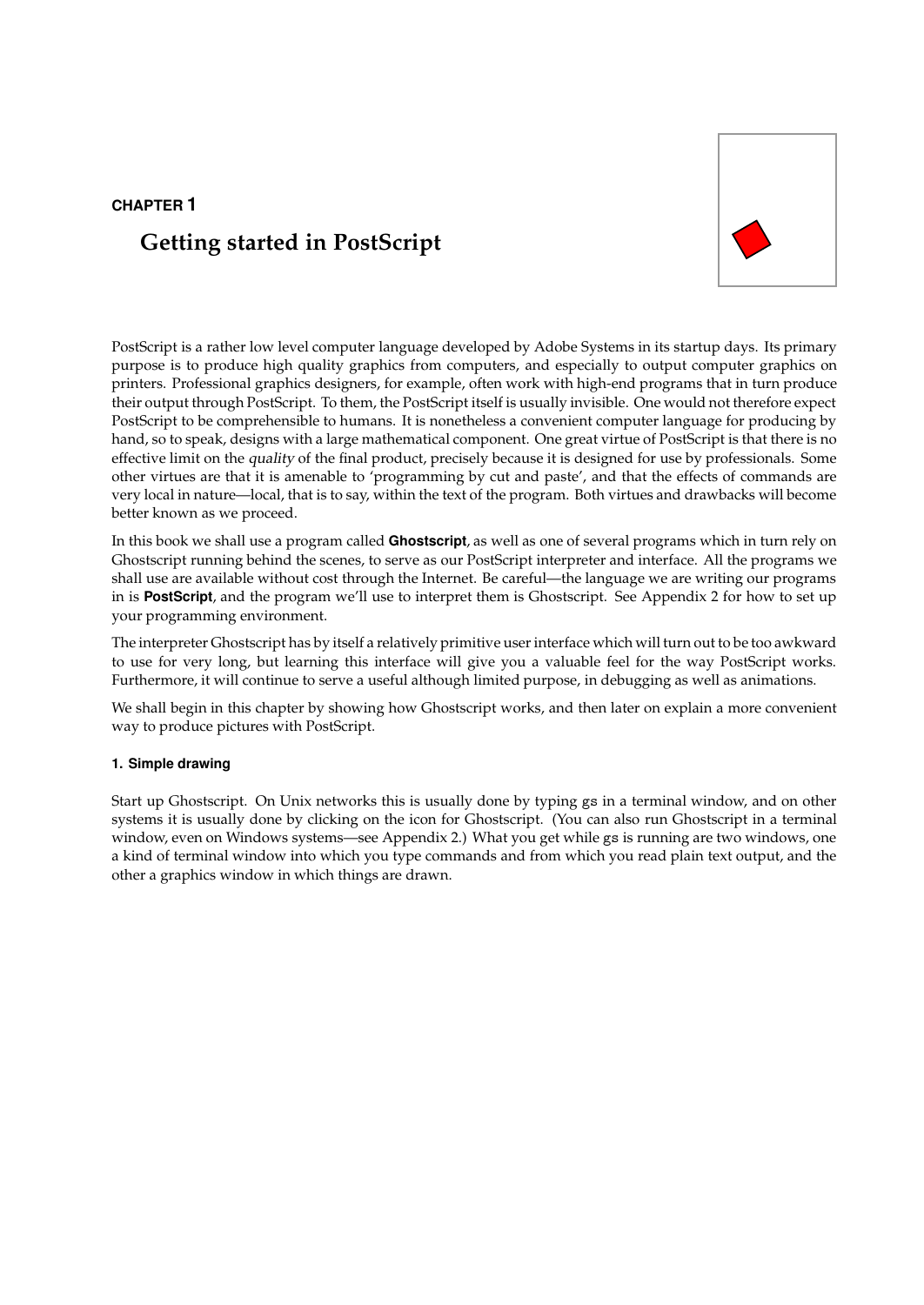## CHAPTER 1

# Getting started in PostScript



PostScript is a rather low level computer language developed by Adobe Systems in its startup days. Its primary purpose is to produce high quality graphics from computers, and especially to output computer graphics on printers. Professional graphics designers, for example, often work with high-end programs that in turn produce their output through PostScript. To them, the PostScript itself is usually invisible. One would not therefore expect PostScript to be comprehensible to humans. It is nonetheless a convenient computer language for producing by hand, so to speak, designs with a large mathematical component. One great virtue of PostScript is that there is no effective limit on the quality of the final product, precisely because it is designed for use by professionals. Some other virtues are that it is amenable to 'programming by cut and paste', and that the effects of commands are very local in nature—local, that is to say, within the text of the program. Both virtues and drawbacks will become better known as we proceed.

In this book we shall use a program called **Ghostscript**, as well as one of several programs which in turn rely on Ghostscript running behind the scenes, to serve as our PostScript interpreter and interface. All the programs we shall use are available without cost through the Internet. Be careful—the language we are writing our programs in is PostScript, and the program we'll use to interpret them is Ghostscript. See Appendix 2 for how to set up your programming environment.

The interpreter Ghostscript has by itself a relatively primitive user interface which will turn out to be too awkward to use for very long, but learning this interface will give you a valuable feel for the way PostScript works. Furthermore, it will continue to serve a useful although limited purpose, in debugging as well as animations.

We shall begin in this chapter by showing how Ghostscript works, and then later on explain a more convenient way to produce pictures with PostScript.

## 1. Simple drawing

Start up Ghostscript. On Unix networks this is usually done by typing gs in a terminal window, and on other systems it is usually done by clicking on the icon for Ghostscript. (You can also run Ghostscript in a terminal window, even on Windows systems—see Appendix 2.) What you get while gs is running are two windows, one a kind of terminal window into which you type commands and from which you read plain text output, and the other a graphics window in which things are drawn.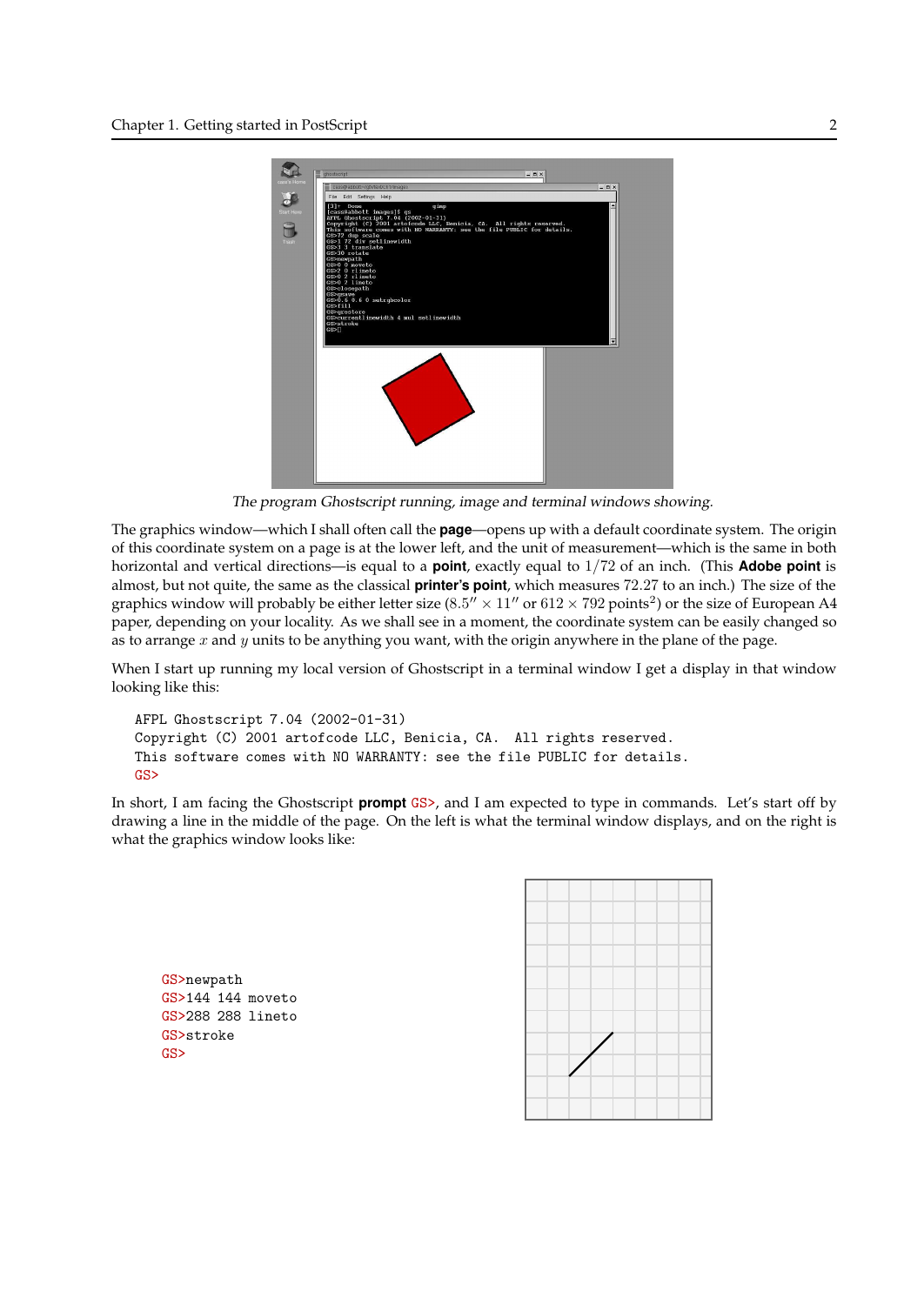

The program Ghostscript running, image and terminal windows showing.

The graphics window—which I shall often call the **page**—opens up with a default coordinate system. The origin of this coordinate system on a page is at the lower left, and the unit of measurement—which is the same in both horizontal and vertical directions—is equal to a **point**, exactly equal to  $1/72$  of an inch. (This **Adobe point** is almost, but not quite, the same as the classical **printer's point**, which measures 72.27 to an inch.) The size of the graphics window will probably be either letter size  $(8.5'' \times 11''$  or  $612 \times 792$  points<sup>2</sup>) or the size of European A4 paper, depending on your locality. As we shall see in a moment, the coordinate system can be easily changed so as to arrange  $x$  and  $y$  units to be anything you want, with the origin anywhere in the plane of the page.

When I start up running my local version of Ghostscript in a terminal window I get a display in that window looking like this:

```
AFPL Ghostscript 7.04 (2002-01-31)
Copyright (C) 2001 artofcode LLC, Benicia, CA. All rights reserved.
This software comes with NO WARRANTY: see the file PUBLIC for details.
GS>
```
In short, I am facing the Ghostscript **prompt** GS>, and I am expected to type in commands. Let's start off by drawing a line in the middle of the page. On the left is what the terminal window displays, and on the right is what the graphics window looks like:

GS>newpath GS>144 144 moveto GS>288 288 lineto GS>stroke GS>

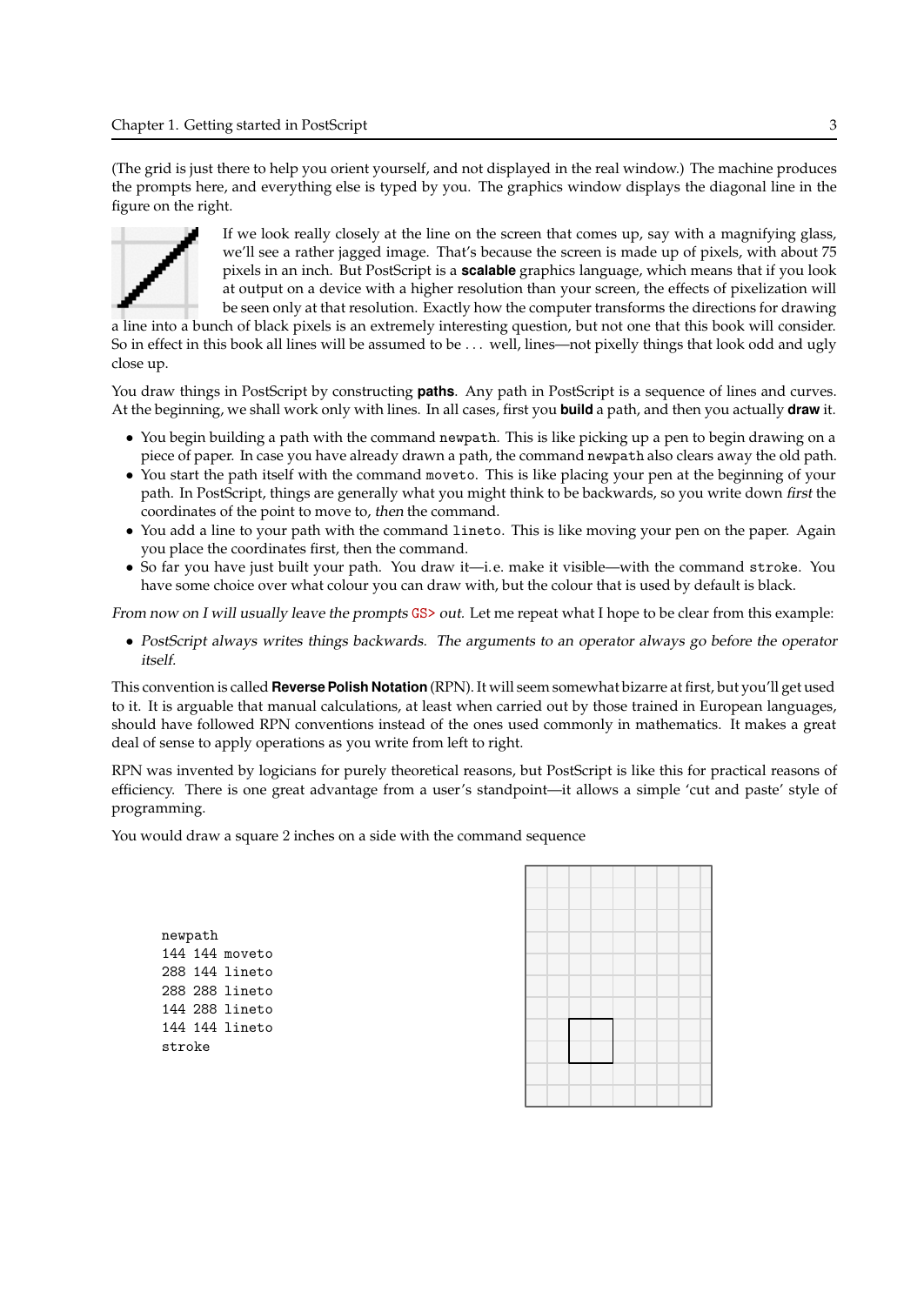(The grid is just there to help you orient yourself, and not displayed in the real window.) The machine produces the prompts here, and everything else is typed by you. The graphics window displays the diagonal line in the figure on the right.



If we look really closely at the line on the screen that comes up, say with a magnifying glass, we'll see a rather jagged image. That's because the screen is made up of pixels, with about 75 pixels in an inch. But PostScript is a **scalable** graphics language, which means that if you look at output on a device with a higher resolution than your screen, the effects of pixelization will be seen only at that resolution. Exactly how the computer transforms the directions for drawing

a line into a bunch of black pixels is an extremely interesting question, but not one that this book will consider. So in effect in this book all lines will be assumed to be . . . well, lines—not pixelly things that look odd and ugly close up.

You draw things in PostScript by constructing **paths**. Any path in PostScript is a sequence of lines and curves. At the beginning, we shall work only with lines. In all cases, first you build a path, and then you actually draw it.

- You begin building a path with the command newpath. This is like picking up a pen to begin drawing on a piece of paper. In case you have already drawn a path, the command newpath also clears away the old path.
- You start the path itself with the command moveto. This is like placing your pen at the beginning of your path. In PostScript, things are generally what you might think to be backwards, so you write down first the coordinates of the point to move to, then the command.
- You add a line to your path with the command lineto. This is like moving your pen on the paper. Again you place the coordinates first, then the command.
- So far you have just built your path. You draw it—i.e. make it visible—with the command stroke. You have some choice over what colour you can draw with, but the colour that is used by default is black.

From now on I will usually leave the prompts GS> out. Let me repeat what I hope to be clear from this example:

• PostScript always writes things backwards. The arguments to an operator always go before the operator itself.

This convention is called Reverse Polish Notation (RPN). It will seem somewhat bizarre at first, but you'll get used to it. It is arguable that manual calculations, at least when carried out by those trained in European languages, should have followed RPN conventions instead of the ones used commonly in mathematics. It makes a great deal of sense to apply operations as you write from left to right.

RPN was invented by logicians for purely theoretical reasons, but PostScript is like this for practical reasons of efficiency. There is one great advantage from a user's standpoint—it allows a simple 'cut and paste' style of programming.

You would draw a square 2 inches on a side with the command sequence

| newpath |  |                |  |  |  |  |
|---------|--|----------------|--|--|--|--|
|         |  | 144 144 moveto |  |  |  |  |
|         |  | 288 144 lineto |  |  |  |  |
|         |  | 288 288 lineto |  |  |  |  |
|         |  | 144 288 lineto |  |  |  |  |
|         |  | 144 144 lineto |  |  |  |  |
| stroke  |  |                |  |  |  |  |

| - | $\overline{\phantom{0}}$ | __ |  |  |
|---|--------------------------|----|--|--|
|   |                          |    |  |  |
|   |                          |    |  |  |
|   |                          |    |  |  |
|   |                          |    |  |  |
|   |                          |    |  |  |
|   |                          |    |  |  |
|   |                          |    |  |  |
|   |                          |    |  |  |
|   |                          |    |  |  |
|   |                          |    |  |  |
|   |                          |    |  |  |
|   |                          |    |  |  |
|   |                          |    |  |  |
|   |                          |    |  |  |
|   |                          |    |  |  |
|   |                          |    |  |  |
|   |                          |    |  |  |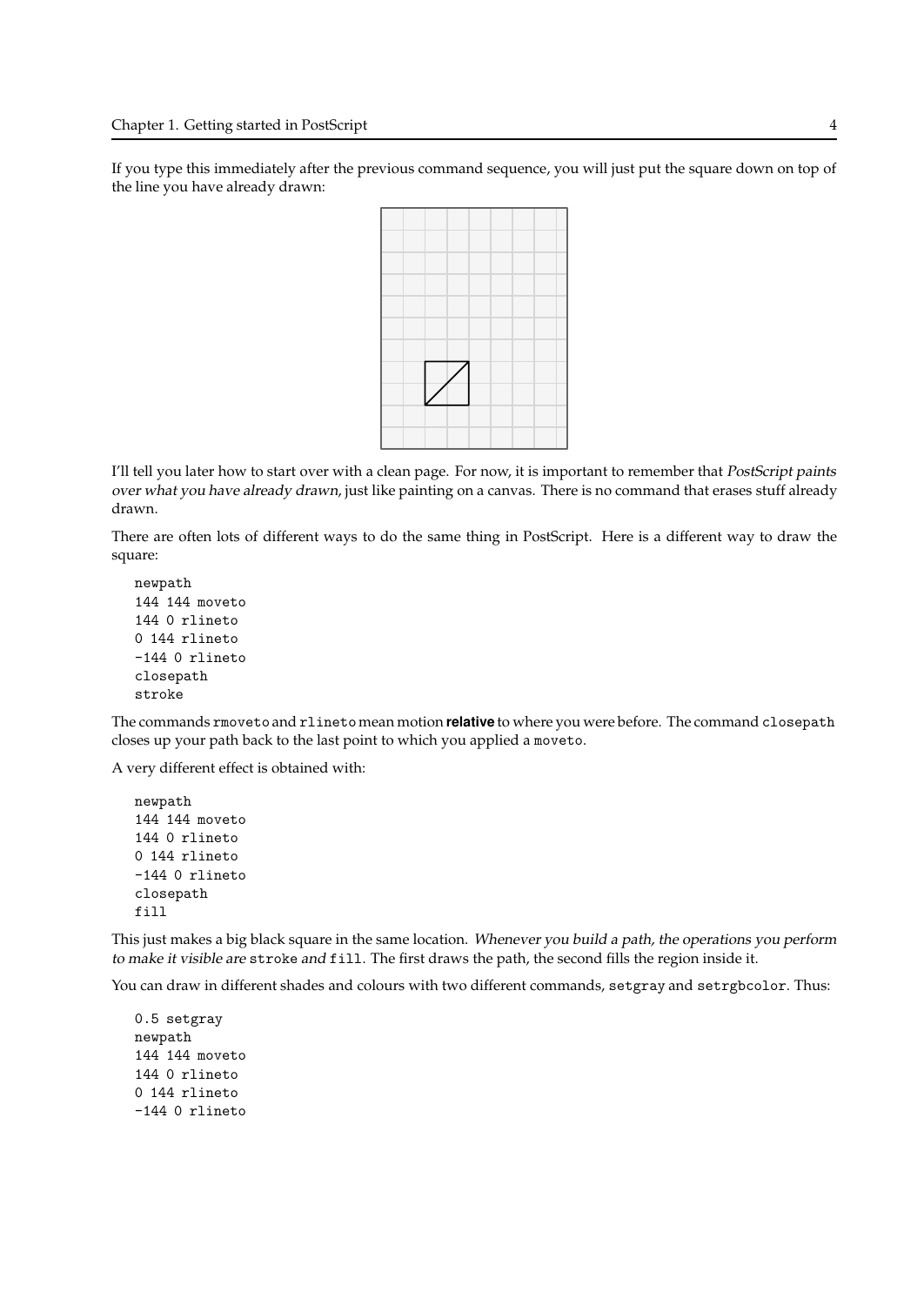If you type this immediately after the previous command sequence, you will just put the square down on top of the line you have already drawn:



I'll tell you later how to start over with a clean page. For now, it is important to remember that PostScript paints over what you have already drawn, just like painting on a canvas. There is no command that erases stuff already drawn.

There are often lots of different ways to do the same thing in PostScript. Here is a different way to draw the square:

newpath 144 144 moveto 144 0 rlineto 0 144 rlineto -144 0 rlineto closepath stroke

The commands rmoveto and rlineto mean motion relative to where you were before. The command closepath closes up your path back to the last point to which you applied a moveto.

A very different effect is obtained with:

newpath 144 144 moveto 144 0 rlineto 0 144 rlineto -144 0 rlineto closepath fill

This just makes a big black square in the same location. Whenever you build <sup>a</sup> path, the operations you perform to make it visible are stroke and fill. The first draws the path, the second fills the region inside it.

You can draw in different shades and colours with two different commands, setgray and setrgbcolor. Thus:

0.5 setgray newpath 144 144 moveto 144 0 rlineto 0 144 rlineto -144 0 rlineto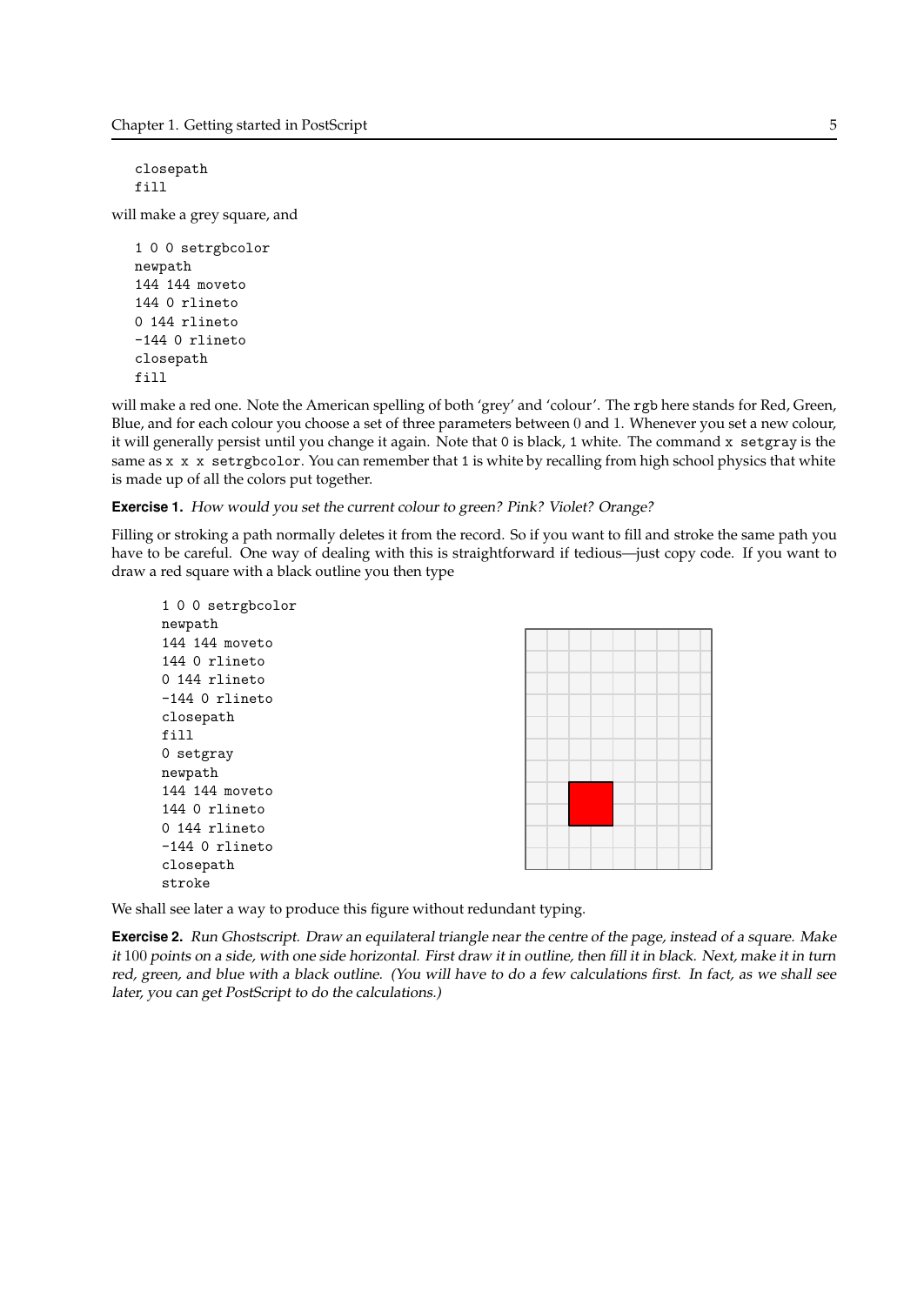closepath fill

will make a grey square, and

```
1 0 0 setrgbcolor
newpath
144 144 moveto
144 0 rlineto
0 144 rlineto
-144 0 rlineto
closepath
fill
```
will make a red one. Note the American spelling of both 'grey' and 'colour'. The rgb here stands for Red, Green, Blue, and for each colour you choose a set of three parameters between 0 and 1. Whenever you set a new colour, it will generally persist until you change it again. Note that 0 is black, 1 white. The command x setgray is the same as x x x setrgbcolor. You can remember that 1 is white by recalling from high school physics that white is made up of all the colors put together.

## Exercise 1. How would you set the current colour to green? Pink? Violet? Orange?

Filling or stroking a path normally deletes it from the record. So if you want to fill and stroke the same path you have to be careful. One way of dealing with this is straightforward if tedious—just copy code. If you want to draw a red square with a black outline you then type

| 100 setrgbcolor  |  |  |  |  |
|------------------|--|--|--|--|
| newpath          |  |  |  |  |
| 144 144 moveto   |  |  |  |  |
| 144 0 rlineto    |  |  |  |  |
| 0 144 rlineto    |  |  |  |  |
| $-144$ O rlineto |  |  |  |  |
| closepath        |  |  |  |  |
| fill             |  |  |  |  |
| 0 setgray        |  |  |  |  |
| newpath          |  |  |  |  |
| 144 144 moveto   |  |  |  |  |
| 144 0 rlineto    |  |  |  |  |
| 0 144 rlineto    |  |  |  |  |
| $-144$ O rlineto |  |  |  |  |
| closepath        |  |  |  |  |
| stroke           |  |  |  |  |

We shall see later a way to produce this figure without redundant typing.

Exercise 2. Run Ghostscript. Draw an equilateral triangle near the centre of the page, instead of a square. Make it 100 points on <sup>a</sup> side, with one side horizontal. First draw it in outline, then fill it in black. Next, make it in turn red, green, and blue with <sup>a</sup> black outline. (You will have to do <sup>a</sup> few calculations first. In fact, as we shall see later, you can get PostScript to do the calculations.)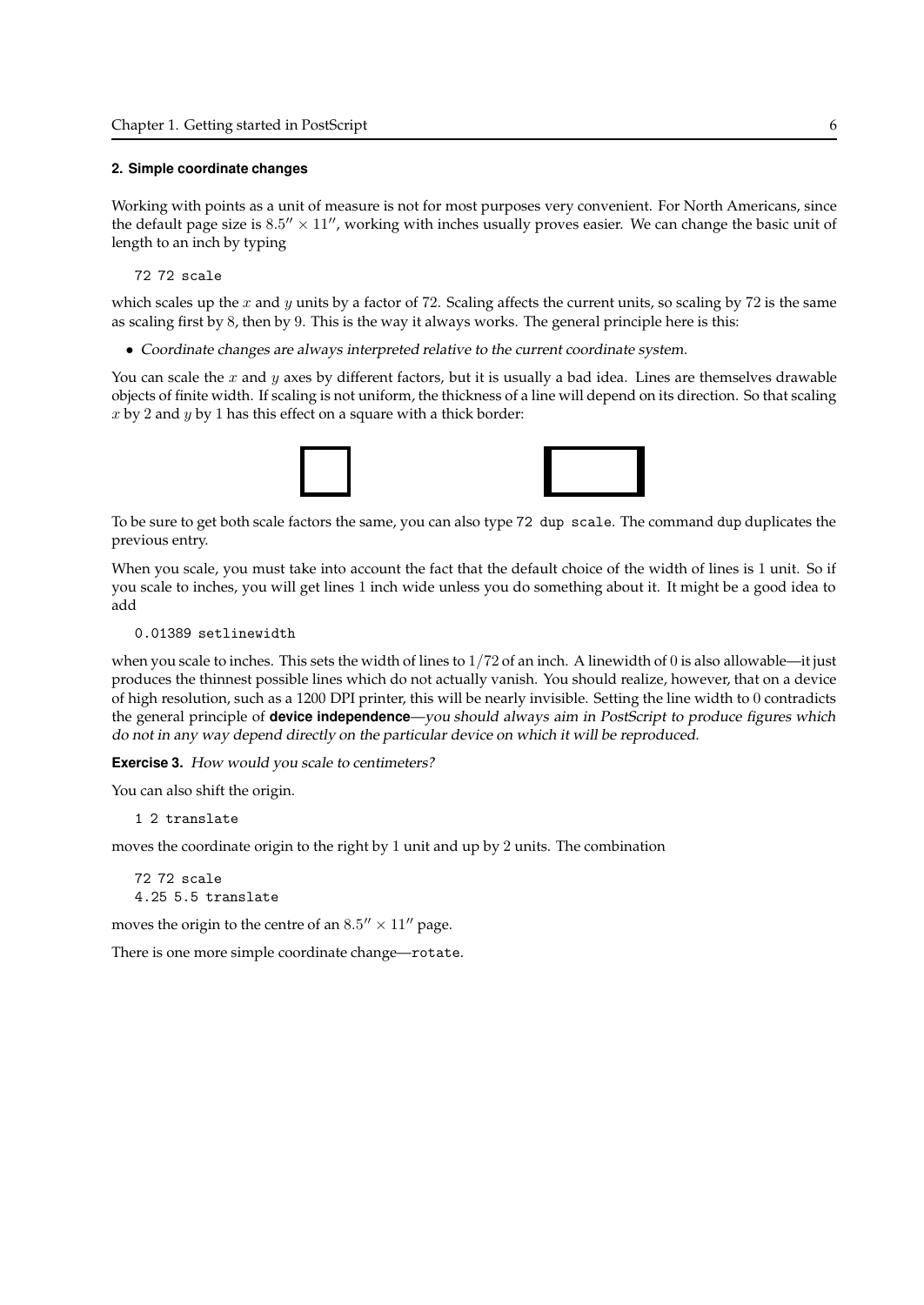#### 2. Simple coordinate changes

Working with points as a unit of measure is not for most purposes very convenient. For North Americans, since the default page size is  $8.5'' \times 11''$ , working with inches usually proves easier. We can change the basic unit of length to an inch by typing

72 72 scale

which scales up the x and y units by a factor of 72. Scaling affects the current units, so scaling by 72 is the same as scaling first by 8, then by 9. This is the way it always works. The general principle here is this:

• Coordinate changes are always interpreted relative to the current coordinate system.

You can scale the x and y axes by different factors, but it is usually a bad idea. Lines are themselves drawable objects of finite width. If scaling is not uniform, the thickness of a line will depend on its direction. So that scaling  $x$  by 2 and  $y$  by 1 has this effect on a square with a thick border:



To be sure to get both scale factors the same, you can also type 72 dup scale. The command dup duplicates the previous entry.

When you scale, you must take into account the fact that the default choice of the width of lines is 1 unit. So if you scale to inches, you will get lines 1 inch wide unless you do something about it. It might be a good idea to add

0.01389 setlinewidth

when you scale to inches. This sets the width of lines to  $1/72$  of an inch. A linewidth of 0 is also allowable—it just produces the thinnest possible lines which do not actually vanish. You should realize, however, that on a device of high resolution, such as a 1200 DPI printer, this will be nearly invisible. Setting the line width to 0 contradicts the general principle of **device independence**—you should always aim in PostScript to produce figures which do not in any way depend directly on the particular device on which it will be reproduced.

**Exercise 3.** How would you scale to centimeters?

You can also shift the origin.

1 2 translate

moves the coordinate origin to the right by 1 unit and up by 2 units. The combination

72 72 scale 4.25 5.5 translate

moves the origin to the centre of an  $8.5'' \times 11''$  page.

There is one more simple coordinate change—rotate.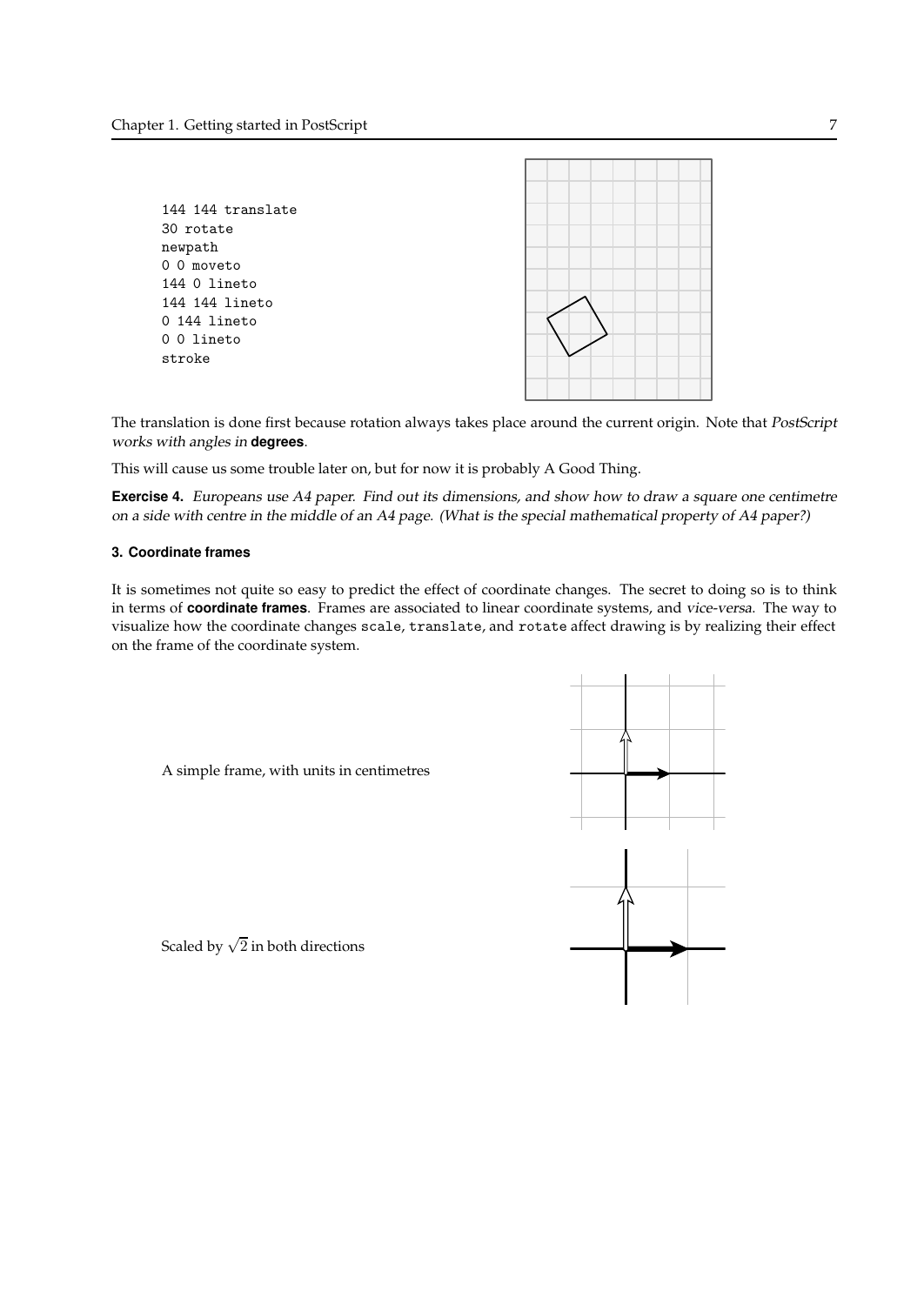| 144 144 translate |  |
|-------------------|--|
| 30 rotate         |  |
| newpath           |  |
| 0 0 moveto        |  |
| 144 0 lineto      |  |
| 144 144 lineto    |  |
| 0 144 lineto      |  |
| 0 0 lineto        |  |
| stroke            |  |
|                   |  |
|                   |  |

The translation is done first because rotation always takes place around the current origin. Note that PostScript works with angles in degrees.

This will cause us some trouble later on, but for now it is probably A Good Thing.

Exercise 4. Europeans use A4 paper. Find out its dimensions, and show how to draw <sup>a</sup> square one centimetre on <sup>a</sup> side with centre in the middle of an A4 page. (What is the special mathematical property of A4 paper?)

## 3. Coordinate frames

It is sometimes not quite so easy to predict the effect of coordinate changes. The secret to doing so is to think in terms of **coordinate frames**. Frames are associated to linear coordinate systems, and vice-versa. The way to visualize how the coordinate changes scale, translate, and rotate affect drawing is by realizing their effect on the frame of the coordinate system.

A simple frame, with units in centimetres

Scaled by  $\sqrt{2}$  in both directions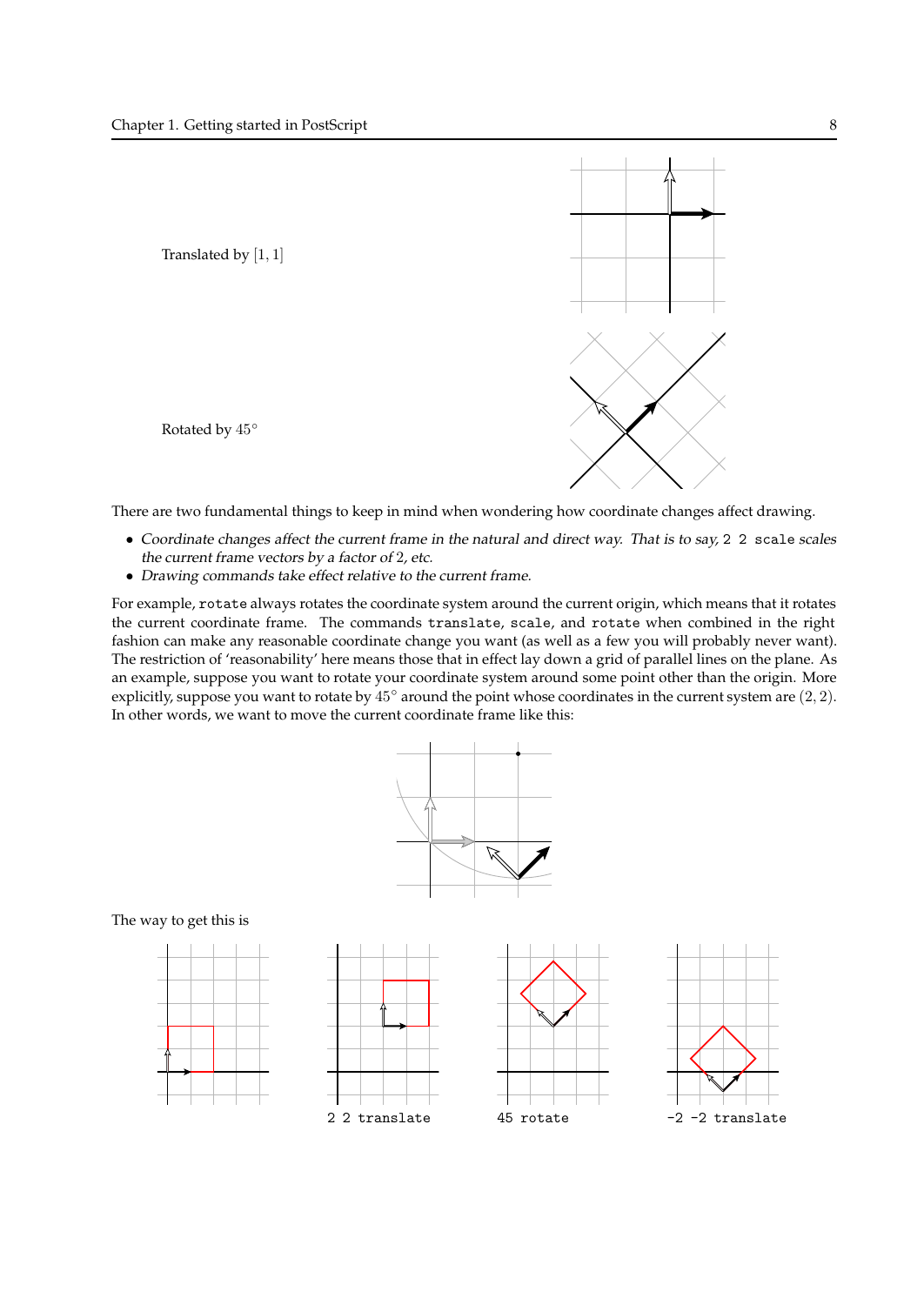

There are two fundamental things to keep in mind when wondering how coordinate changes affect drawing.

- Coordinate changes affect the current frame in the natural and direct way. That is to say, 2 2 scale scales the current frame vectors by <sup>a</sup> factor of 2, etc.
- Drawing commands take effect relative to the current frame.

For example, rotate always rotates the coordinate system around the current origin, which means that it rotates the current coordinate frame. The commands translate, scale, and rotate when combined in the right fashion can make any reasonable coordinate change you want (as well as a few you will probably never want). The restriction of 'reasonability' here means those that in effect lay down a grid of parallel lines on the plane. As an example, suppose you want to rotate your coordinate system around some point other than the origin. More explicitly, suppose you want to rotate by 45° around the point whose coordinates in the current system are (2, 2). In other words, we want to move the current coordinate frame like this:

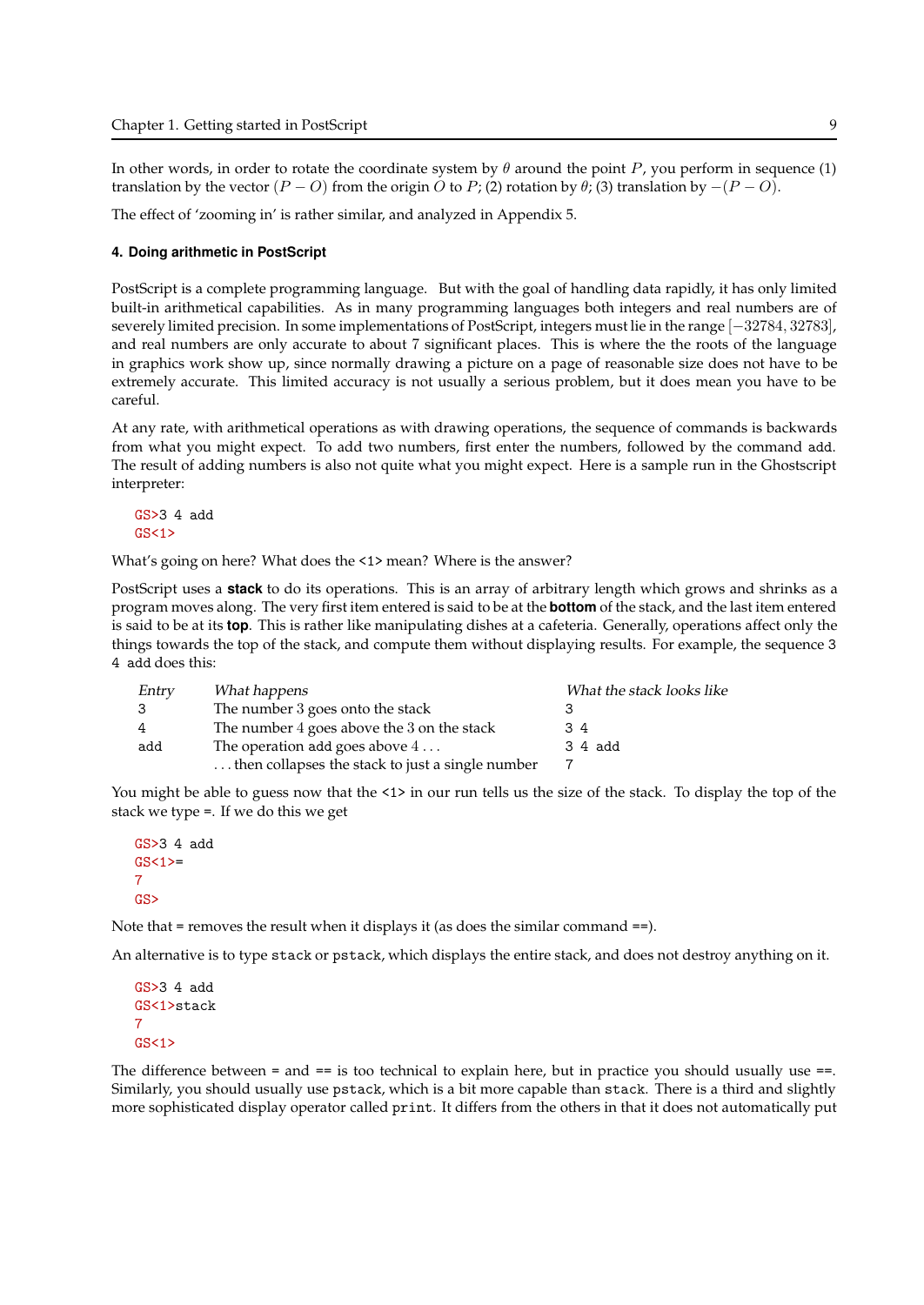In other words, in order to rotate the coordinate system by  $\theta$  around the point P, you perform in sequence (1) translation by the vector  $(P - O)$  from the origin O to P; (2) rotation by  $\theta$ ; (3) translation by  $-(P - O)$ .

The effect of 'zooming in' is rather similar, and analyzed in Appendix 5.

## 4. Doing arithmetic in PostScript

PostScript is a complete programming language. But with the goal of handling data rapidly, it has only limited built-in arithmetical capabilities. As in many programming languages both integers and real numbers are of severely limited precision. In some implementations of PostScript, integers must lie in the range [−32784, 32783], and real numbers are only accurate to about 7 significant places. This is where the the roots of the language in graphics work show up, since normally drawing a picture on a page of reasonable size does not have to be extremely accurate. This limited accuracy is not usually a serious problem, but it does mean you have to be careful.

At any rate, with arithmetical operations as with drawing operations, the sequence of commands is backwards from what you might expect. To add two numbers, first enter the numbers, followed by the command add. The result of adding numbers is also not quite what you might expect. Here is a sample run in the Ghostscript interpreter:

```
GS>3 4 add
GS<1>
```
What's going on here? What does the <1> mean? Where is the answer?

PostScript uses a **stack** to do its operations. This is an array of arbitrary length which grows and shrinks as a program moves along. The very first item entered is said to be at the **bottom** of the stack, and the last item entered is said to be at its top. This is rather like manipulating dishes at a cafeteria. Generally, operations affect only the things towards the top of the stack, and compute them without displaying results. For example, the sequence 3 4 add does this:

| Entry | What happens                                                                                | What the stack looks like |
|-------|---------------------------------------------------------------------------------------------|---------------------------|
|       | The number 3 goes onto the stack                                                            |                           |
|       | The number 4 goes above the 3 on the stack                                                  | 34                        |
| add   | The operation add goes above $4 \ldots$<br>then collapses the stack to just a single number | 3 4 add                   |
|       |                                                                                             |                           |

You might be able to guess now that the <1> in our run tells us the size of the stack. To display the top of the stack we type =. If we do this we get

```
GS>3 4 add
GS < 1 >=
7
GS>
```
Note that = removes the result when it displays it (as does the similar command ==).

An alternative is to type stack or pstack, which displays the entire stack, and does not destroy anything on it.

```
GS>3 4 add
GS<1>stack
7
GS<1>
```
The difference between  $=$  and  $==$  is too technical to explain here, but in practice you should usually use  $==$ . Similarly, you should usually use pstack, which is a bit more capable than stack. There is a third and slightly more sophisticated display operator called print. It differs from the others in that it does not automatically put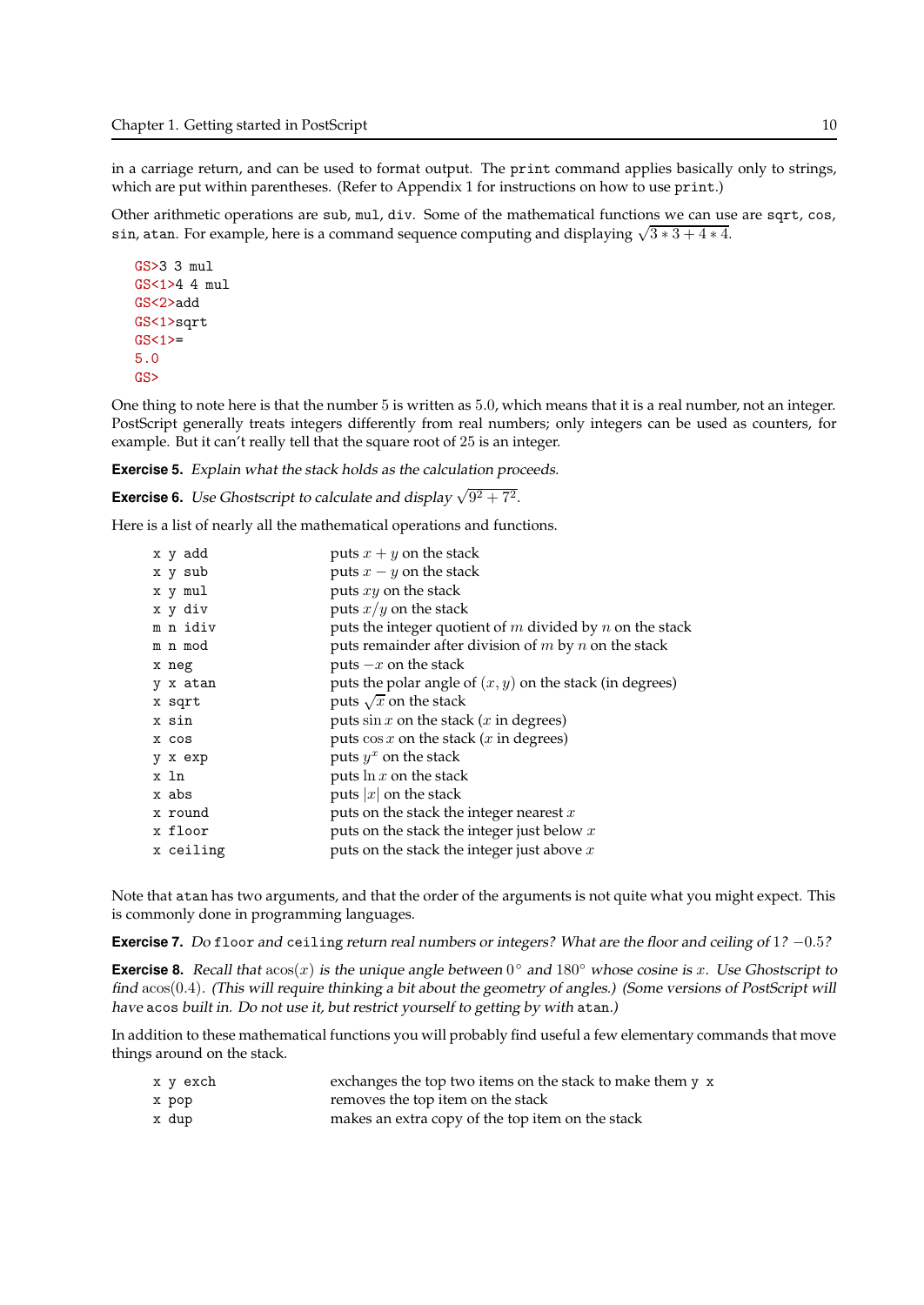in a carriage return, and can be used to format output. The print command applies basically only to strings, which are put within parentheses. (Refer to Appendix 1 for instructions on how to use print.)

Other arithmetic operations are sub, mul, div. Some of the mathematical functions we can use are sqrt, cos, sin, atan. For example, here is a command sequence computing and displaying  $\sqrt{3*3+4*4}$ .

```
GS>3 3 mul
GS<1>4 4 mul
GS<2>add
GS<1>sqrt
GS < 1 >=
5.0
GS>
```
One thing to note here is that the number 5 is written as 5.0, which means that it is a real number, not an integer. PostScript generally treats integers differently from real numbers; only integers can be used as counters, for example. But it can't really tell that the square root of 25 is an integer.

**Exercise 5.** Explain what the stack holds as the calculation proceeds.

**Exercise 6.** Use Ghostscript to calculate and display  $\sqrt{9^2 + 7^2}$ .

Here is a list of nearly all the mathematical operations and functions.

|      | x y add   | puts $x + y$ on the stack                                    |
|------|-----------|--------------------------------------------------------------|
|      | x y sub   | puts $x - y$ on the stack                                    |
|      | x y mul   | puts $xy$ on the stack                                       |
|      | x y div   | puts $x/y$ on the stack                                      |
|      | m n idiv  | puts the integer quotient of $m$ divided by $n$ on the stack |
|      | m n mod   | puts remainder after division of $m$ by $n$ on the stack     |
|      | x neg     | puts $-x$ on the stack                                       |
|      | y x atan  | puts the polar angle of $(x, y)$ on the stack (in degrees)   |
|      | x sqrt    | puts $\sqrt{x}$ on the stack                                 |
|      | x sin     | puts $\sin x$ on the stack ( $x$ in degrees)                 |
|      | x cos     | puts $\cos x$ on the stack (x in degrees)                    |
|      | y x exp   | puts $y^x$ on the stack                                      |
| x 1n |           | puts $\ln x$ on the stack                                    |
|      | x abs     | puts  x  on the stack                                        |
|      | x round   | puts on the stack the integer nearest $x$                    |
|      | x floor   | puts on the stack the integer just below $x$                 |
|      | x ceiling | puts on the stack the integer just above $x$                 |
|      |           |                                                              |

Note that atan has two arguments, and that the order of the arguments is not quite what you might expect. This is commonly done in programming languages.

Exercise 7. Do floor and ceiling return real numbers or integers? What are the floor and ceiling of 1? −0.5?

**Exercise 8.** Recall that  $a\cos(x)$  is the unique angle between  $0°$  and  $180°$  whose cosine is x. Use Ghostscript to find acos(0.4). (This will require thinking <sup>a</sup> bit about the geometry of angles.) (Some versions of PostScript will have acos built in. Do not use it, but restrict yourself to getting by with atan.)

In addition to these mathematical functions you will probably find useful a few elementary commands that move things around on the stack.

| x y exch | exchanges the top two items on the stack to make them y x |
|----------|-----------------------------------------------------------|
| x pop    | removes the top item on the stack                         |
| x dup    | makes an extra copy of the top item on the stack          |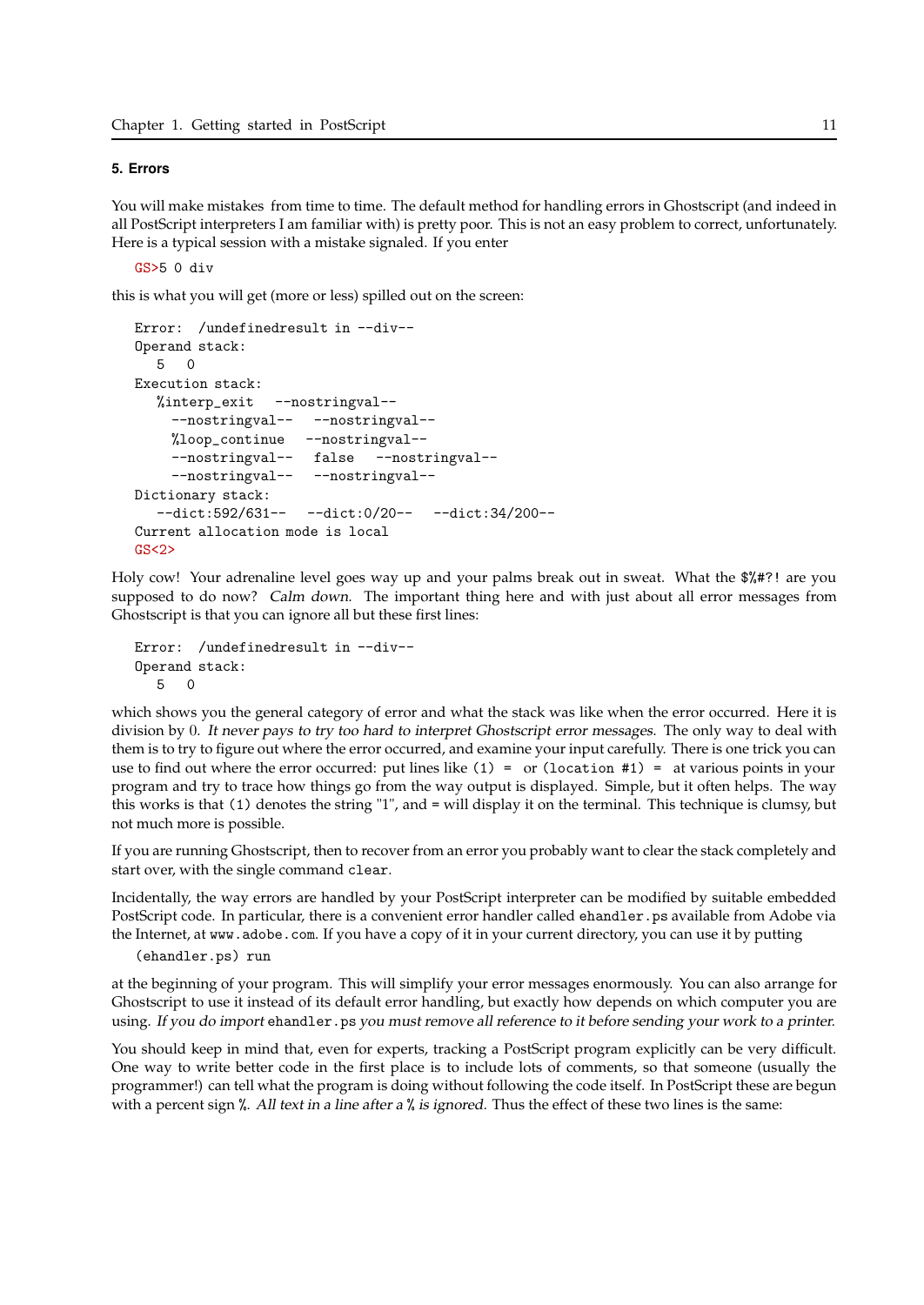#### 5. Errors

You will make mistakes from time to time. The default method for handling errors in Ghostscript (and indeed in all PostScript interpreters I am familiar with) is pretty poor. This is not an easy problem to correct, unfortunately. Here is a typical session with a mistake signaled. If you enter

GS>5 0 div

this is what you will get (more or less) spilled out on the screen:

```
Error: /undefinedresult in --div--
Operand stack:
  5 0
Execution stack:
  %interp_exit --nostringval--
    --nostringval-- --nostringval--
    %loop_continue --nostringval--
    --nostringval-- false --nostringval--
    --nostringval-- --nostringval--
Dictionary stack:
  --dict:592/631-- --dict:0/20-- --dict:34/200--
Current allocation mode is local
GS < 2
```
Holy cow! Your adrenaline level goes way up and your palms break out in sweat. What the \$%#?! are you supposed to do now? Calm down. The important thing here and with just about all error messages from Ghostscript is that you can ignore all but these first lines:

```
Error: /undefinedresult in --div--
Operand stack:
  5 0
```
which shows you the general category of error and what the stack was like when the error occurred. Here it is division by 0. It never pays to try too hard to interpret Ghostscript error messages. The only way to deal with them is to try to figure out where the error occurred, and examine your input carefully. There is one trick you can use to find out where the error occurred: put lines like  $(1) =$  or  $(location #1) =$  at various points in your program and try to trace how things go from the way output is displayed. Simple, but it often helps. The way this works is that (1) denotes the string "1", and = will display it on the terminal. This technique is clumsy, but not much more is possible.

If you are running Ghostscript, then to recover from an error you probably want to clear the stack completely and start over, with the single command clear.

Incidentally, the way errors are handled by your PostScript interpreter can be modified by suitable embedded PostScript code. In particular, there is a convenient error handler called ehandler.ps available from Adobe via the Internet, at www.adobe.com. If you have a copy of it in your current directory, you can use it by putting

(ehandler.ps) run

at the beginning of your program. This will simplify your error messages enormously. You can also arrange for Ghostscript to use it instead of its default error handling, but exactly how depends on which computer you are using. If you do import ehandler.ps you must remove all reference to it before sending your work to a printer.

You should keep in mind that, even for experts, tracking a PostScript program explicitly can be very difficult. One way to write better code in the first place is to include lots of comments, so that someone (usually the programmer!) can tell what the program is doing without following the code itself. In PostScript these are begun with a percent sign %. All text in a line after a % is ignored. Thus the effect of these two lines is the same: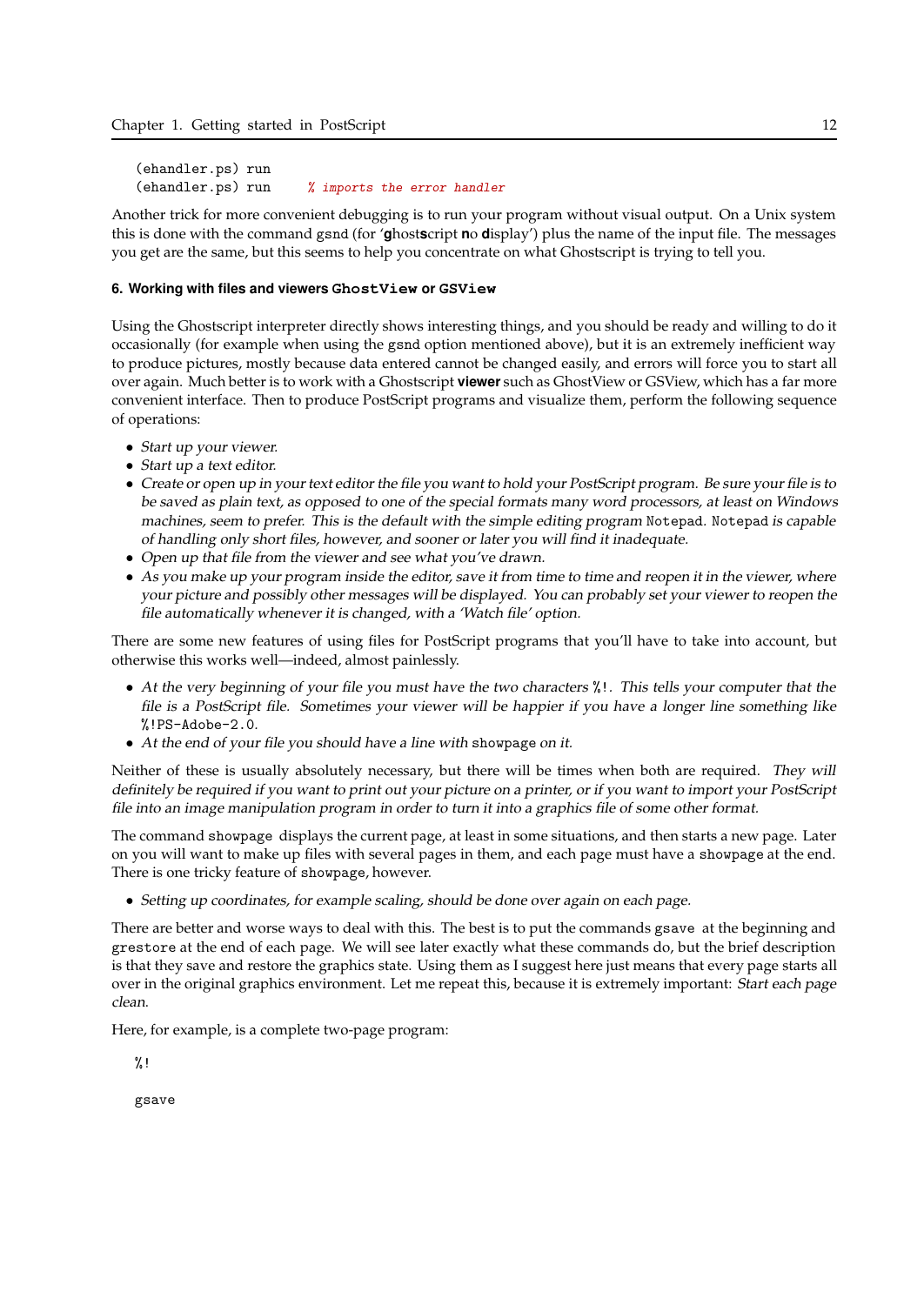(ehandler.ps) run (ehandler.ps) run % imports the error handler

Another trick for more convenient debugging is to run your program without visual output. On a Unix system this is done with the command gsnd (for 'ghostscript no display') plus the name of the input file. The messages you get are the same, but this seems to help you concentrate on what Ghostscript is trying to tell you.

#### 6. Working with files and viewers GhostView or GSView

Using the Ghostscript interpreter directly shows interesting things, and you should be ready and willing to do it occasionally (for example when using the gsnd option mentioned above), but it is an extremely inefficient way to produce pictures, mostly because data entered cannot be changed easily, and errors will force you to start all over again. Much better is to work with a Ghostscript viewer such as GhostView or GSView, which has a far more convenient interface. Then to produce PostScript programs and visualize them, perform the following sequence of operations:

- Start up your viewer.
- Start up <sup>a</sup> text editor.
- Create or open up in your text editor the file you want to hold your PostScript program. Be sure your file is to be saved as plain text, as opposed to one of the special formats many word processors, at least on Windows machines, seem to prefer. This is the default with the simple editing program Notepad. Notepad is capable of handling only short files, however, and sooner or later you will find it inadequate.
- Open up that file from the viewer and see what you've drawn.
- As you make up your program inside the editor, save it from time to time and reopen it in the viewer, where your picture and possibly other messages will be displayed. You can probably set your viewer to reopen the file automatically whenever it is changed, with <sup>a</sup> 'Watch file' option.

There are some new features of using files for PostScript programs that you'll have to take into account, but otherwise this works well—indeed, almost painlessly.

- At the very beginning of your file you must have the two characters %!. This tells your computer that the file is <sup>a</sup> PostScript file. Sometimes your viewer will be happier if you have <sup>a</sup> longer line something like %!PS-Adobe-2.0.
- At the end of your file you should have <sup>a</sup> line with showpage on it.

Neither of these is usually absolutely necessary, but there will be times when both are required. They will definitely be required if you want to print out your picture on <sup>a</sup> printer, or if you want to import your PostScript file into an image manipulation program in order to turn it into <sup>a</sup> graphics file of some other format.

The command showpage displays the current page, at least in some situations, and then starts a new page. Later on you will want to make up files with several pages in them, and each page must have a showpage at the end. There is one tricky feature of showpage, however.

• Setting up coordinates, for example scaling, should be done over again on each page.

There are better and worse ways to deal with this. The best is to put the commands gsave at the beginning and grestore at the end of each page. We will see later exactly what these commands do, but the brief description is that they save and restore the graphics state. Using them as I suggest here just means that every page starts all over in the original graphics environment. Let me repeat this, because it is extremely important: Start each page clean.

Here, for example, is a complete two-page program:

 $\frac{9}{2}$ !

gsave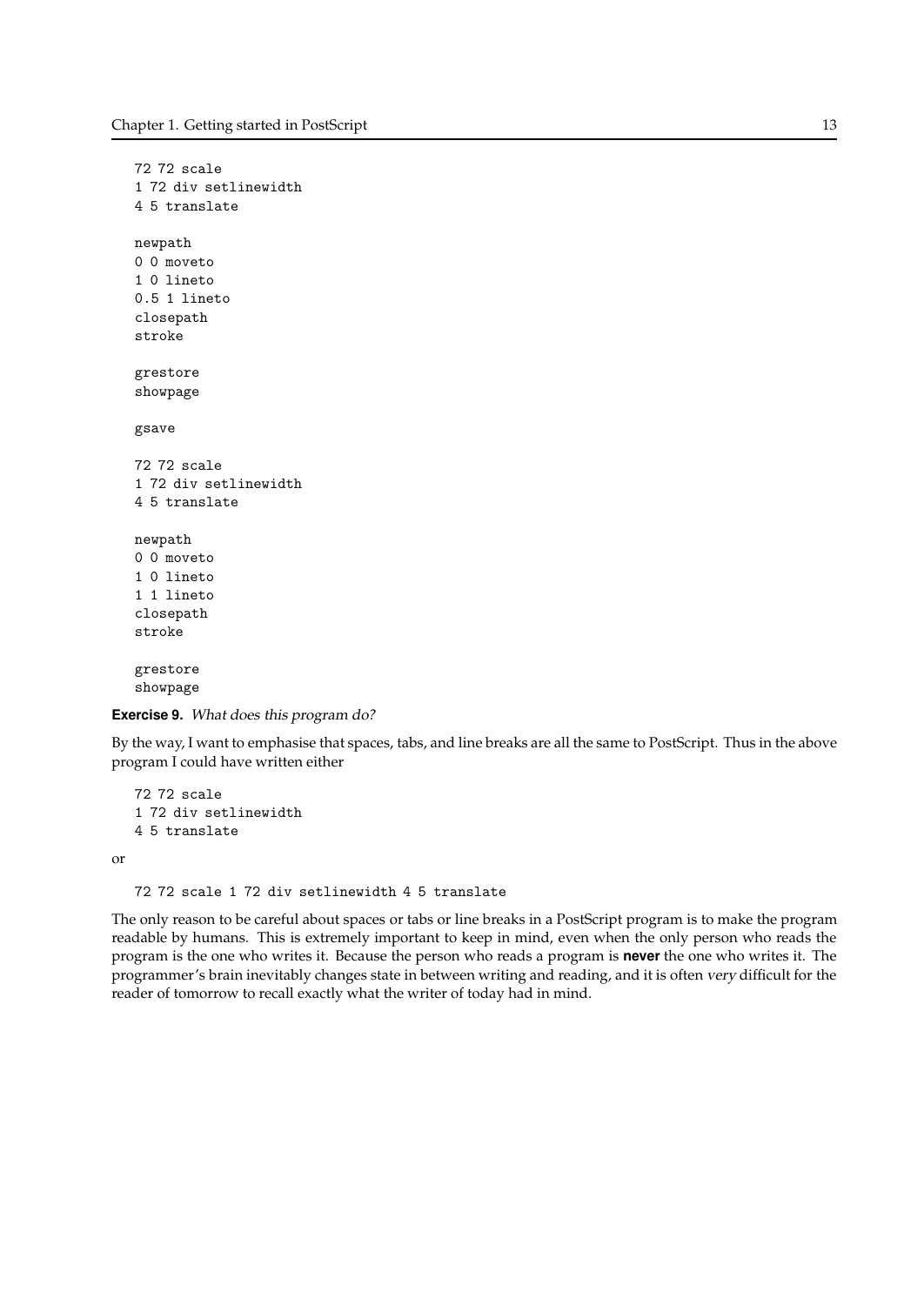```
72 72 scale
   1 72 div setlinewidth
  4 5 translate
  newpath
  0 0 moveto
   1 0 lineto
  0.5 1 lineto
   closepath
   stroke
   grestore
   showpage
   gsave
  72 72 scale
   1 72 div setlinewidth
   4 5 translate
  newpath
  0 0 moveto
   1 0 lineto
   1 1 lineto
  closepath
  stroke
   grestore
   showpage
Exercise 9. What does this program do?
```
By the way, I want to emphasise that spaces, tabs, and line breaks are all the same to PostScript. Thus in the above program I could have written either

```
72 72 scale
1 72 div setlinewidth
4 5 translate
```
or

```
72 72 scale 1 72 div setlinewidth 4 5 translate
```
The only reason to be careful about spaces or tabs or line breaks in a PostScript program is to make the program readable by humans. This is extremely important to keep in mind, even when the only person who reads the program is the one who writes it. Because the person who reads a program is **never** the one who writes it. The programmer's brain inevitably changes state in between writing and reading, and it is often very difficult for the reader of tomorrow to recall exactly what the writer of today had in mind.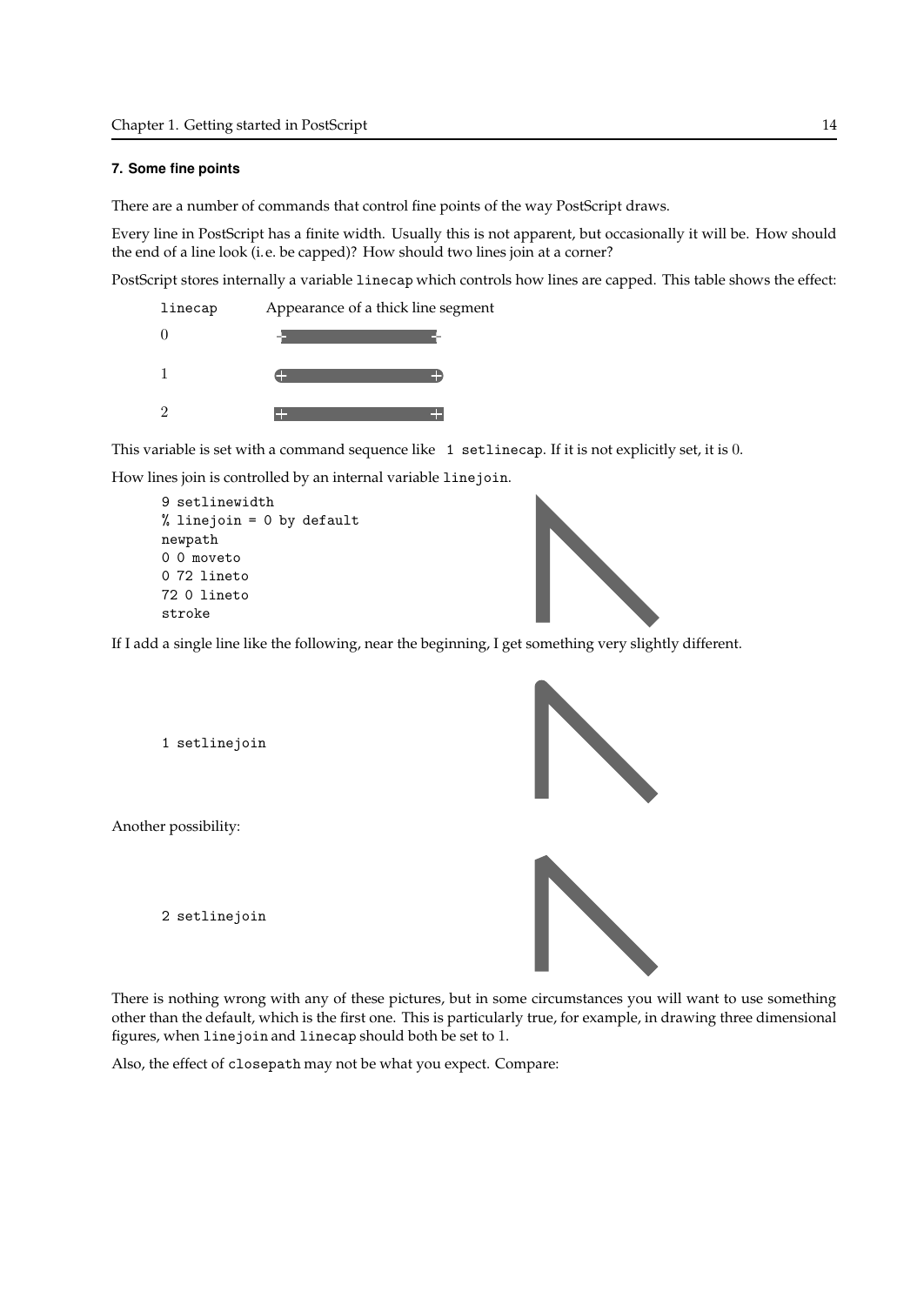## 7. Some fine points

There are a number of commands that control fine points of the way PostScript draws.

Every line in PostScript has a finite width. Usually this is not apparent, but occasionally it will be. How should the end of a line look (i.e. be capped)? How should two lines join at a corner?

PostScript stores internally a variable linecap which controls how lines are capped. This table shows the effect:



This variable is set with a command sequence like 1 setlinecap. If it is not explicitly set, it is 0.

How lines join is controlled by an internal variable linejoin.





If I add a single line like the following, near the beginning, I get something very slightly different.

1 setlinejoin

Another possibility:

2 setlinejoin





There is nothing wrong with any of these pictures, but in some circumstances you will want to use something other than the default, which is the first one. This is particularly true, for example, in drawing three dimensional figures, when linejoin and linecap should both be set to 1.

Also, the effect of closepath may not be what you expect. Compare: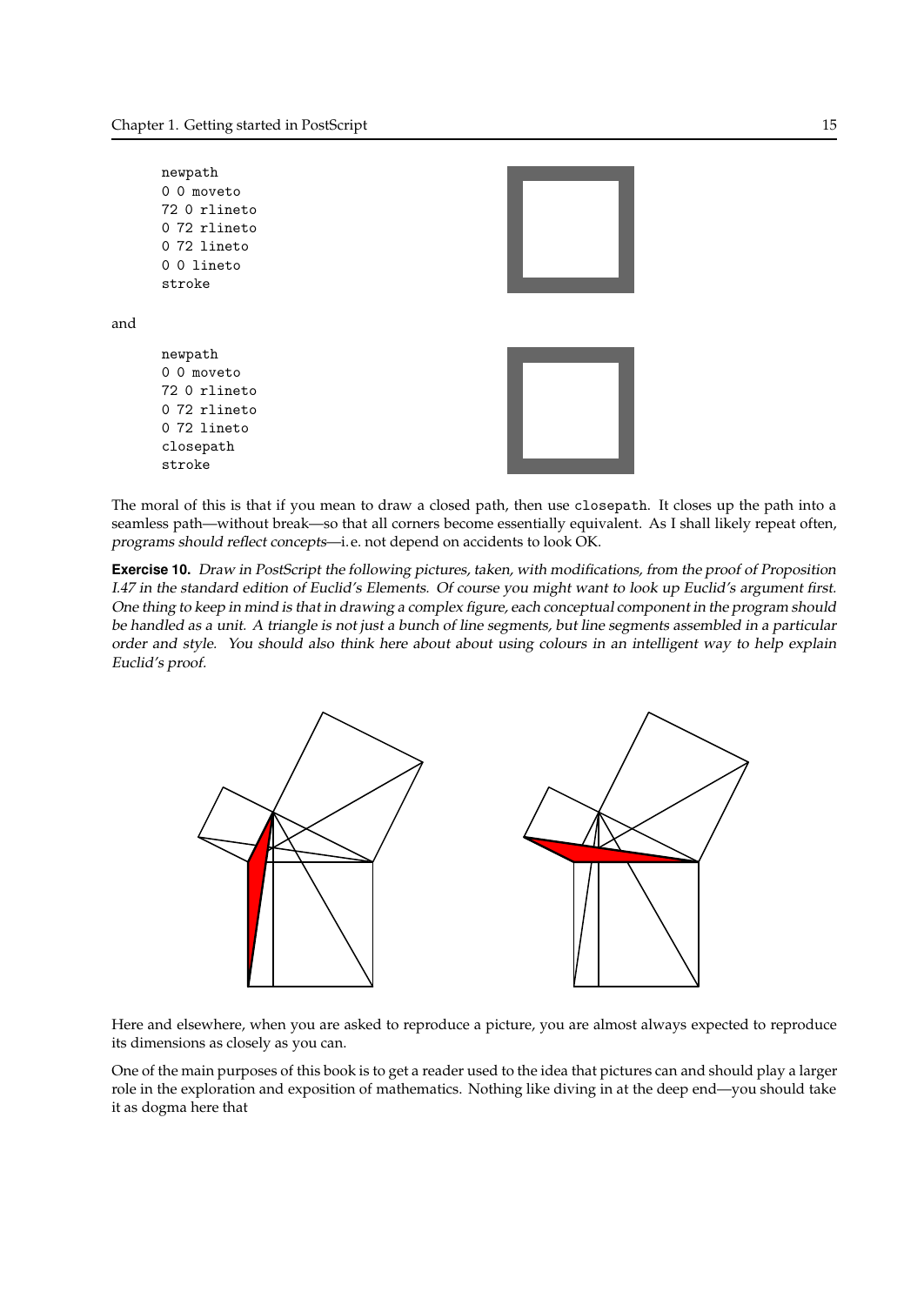#### newpath

and

newpath 0 0 moveto 72 0 rlineto 0 72 rlineto 0 72 lineto closepath stroke





The moral of this is that if you mean to draw a closed path, then use closepath. It closes up the path into a seamless path—without break—so that all corners become essentially equivalent. As I shall likely repeat often, programs should reflect concepts—i.e. not depend on accidents to look OK.

Exercise 10. Draw in PostScript the following pictures, taken, with modifications, from the proof of Proposition I.47 in the standard edition of Euclid's Elements. Of course you might want to look up Euclid's argument first. One thing to keep in mind is that in drawing <sup>a</sup> complex figure, each conceptual component in the program should be handled as <sup>a</sup> unit. <sup>A</sup> triangle is not just <sup>a</sup> bunch of line segments, but line segments assembled in <sup>a</sup> particular order and style. You should also think here about about using colours in an intelligent way to help explain Euclid's proof.



Here and elsewhere, when you are asked to reproduce a picture, you are almost always expected to reproduce its dimensions as closely as you can.

One of the main purposes of this book is to get a reader used to the idea that pictures can and should play a larger role in the exploration and exposition of mathematics. Nothing like diving in at the deep end—you should take it as dogma here that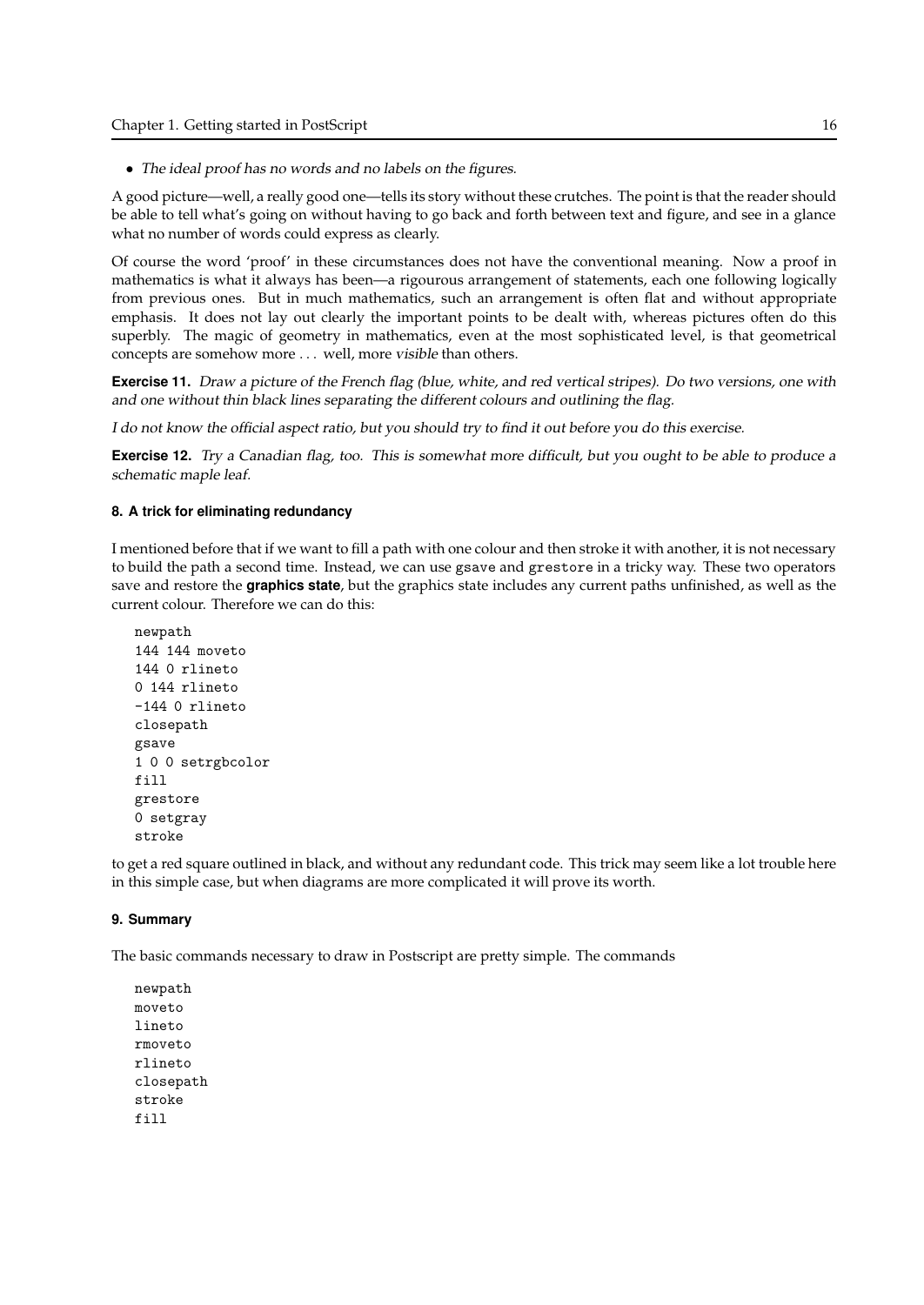• The ideal proof has no words and no labels on the figures.

A good picture—well, a really good one—tells its story without these crutches. The point is that the reader should be able to tell what's going on without having to go back and forth between text and figure, and see in a glance what no number of words could express as clearly.

Of course the word 'proof' in these circumstances does not have the conventional meaning. Now a proof in mathematics is what it always has been—a rigourous arrangement of statements, each one following logically from previous ones. But in much mathematics, such an arrangement is often flat and without appropriate emphasis. It does not lay out clearly the important points to be dealt with, whereas pictures often do this superbly. The magic of geometry in mathematics, even at the most sophisticated level, is that geometrical concepts are somehow more . . . well, more visible than others.

Exercise 11. Draw a picture of the French flag (blue, white, and red vertical stripes). Do two versions, one with and one without thin black lines separating the different colours and outlining the flag.

<sup>I</sup> do not know the official aspect ratio, but you should try to find it out before you do this exercise.

**Exercise 12.** Try a Canadian flag, too. This is somewhat more difficult, but you ought to be able to produce a schematic maple leaf.

#### 8. A trick for eliminating redundancy

I mentioned before that if we want to fill a path with one colour and then stroke it with another, it is not necessary to build the path a second time. Instead, we can use gsave and grestore in a tricky way. These two operators save and restore the **graphics state**, but the graphics state includes any current paths unfinished, as well as the current colour. Therefore we can do this:

newpath 144 144 moveto 144 0 rlineto 0 144 rlineto -144 0 rlineto closepath gsave 1 0 0 setrgbcolor fill grestore 0 setgray stroke

to get a red square outlined in black, and without any redundant code. This trick may seem like a lot trouble here in this simple case, but when diagrams are more complicated it will prove its worth.

## 9. Summary

The basic commands necessary to draw in Postscript are pretty simple. The commands

newpath moveto lineto rmoveto rlineto closepath stroke fill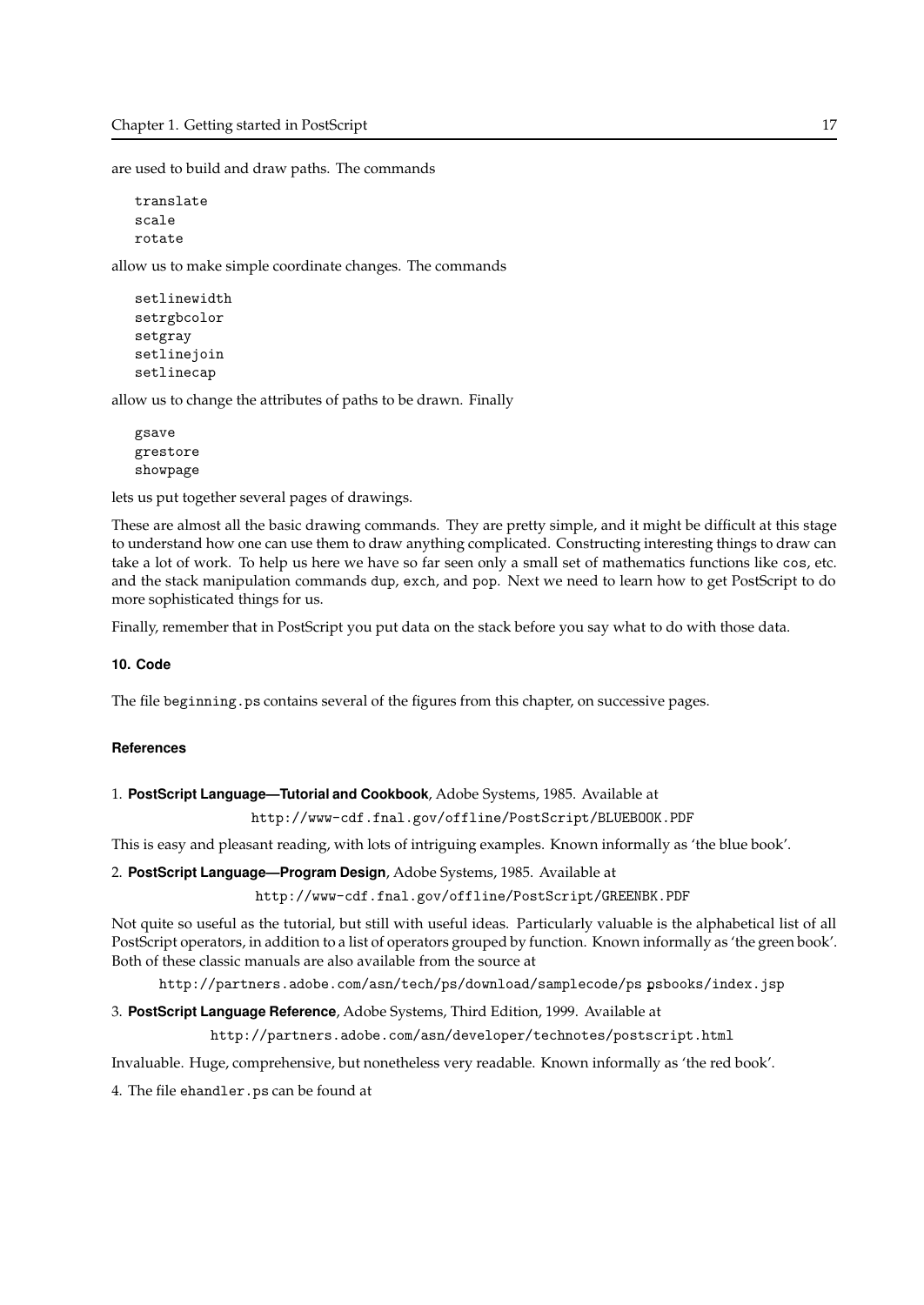are used to build and draw paths. The commands

```
translate
scale
rotate
```
allow us to make simple coordinate changes. The commands

```
setlinewidth
setrgbcolor
setgray
setlinejoin
setlinecap
```
allow us to change the attributes of paths to be drawn. Finally

```
gsave
grestore
showpage
```
lets us put together several pages of drawings.

These are almost all the basic drawing commands. They are pretty simple, and it might be difficult at this stage to understand how one can use them to draw anything complicated. Constructing interesting things to draw can take a lot of work. To help us here we have so far seen only a small set of mathematics functions like cos, etc. and the stack manipulation commands dup, exch, and pop. Next we need to learn how to get PostScript to do more sophisticated things for us.

Finally, remember that in PostScript you put data on the stack before you say what to do with those data.

#### 10. Code

The file beginning.ps contains several of the figures from this chapter, on successive pages.

## **References**

## 1. PostScript Language—Tutorial and Cookbook, Adobe Systems, 1985. Available at

http://www-cdf.fnal.gov/offline/PostScript/BLUEBOOK.PDF

This is easy and pleasant reading, with lots of intriguing examples. Known informally as 'the blue book'.

## 2. PostScript Language—Program Design, Adobe Systems, 1985. Available at

http://www-cdf.fnal.gov/offline/PostScript/GREENBK.PDF

Not quite so useful as the tutorial, but still with useful ideas. Particularly valuable is the alphabetical list of all PostScript operators, in addition to a list of operators grouped by function. Known informally as 'the green book'. Both of these classic manuals are also available from the source at

http://partners.adobe.com/asn/tech/ps/download/samplecode/ps psbooks/index.jsp

3. PostScript Language Reference, Adobe Systems, Third Edition, 1999. Available at

http://partners.adobe.com/asn/developer/technotes/postscript.html

Invaluable. Huge, comprehensive, but nonetheless very readable. Known informally as 'the red book'.

4. The file ehandler.ps can be found at